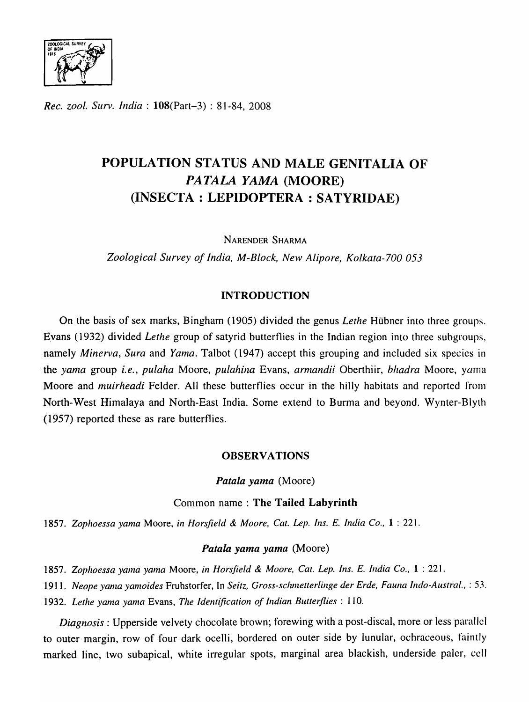

*Rec. zool. Surv. India:* l08(Part-3) : 81-84, 2008

# POPULATION STATUS AND MALE GENITALIA OF *PATALA YAMA* (MOORE) (INSECTA : LEPIDOPTERA : SA TYRIDAE)

NARENDER SHARMA

*Zoological Survey of India, M-Block, New Alipore, Kolkata-700 053* 

# INTRODUCTION

On the basis of sex marks, Bingham (1905) divided the genus *Lethe* Hubner into three groups. Evans (1932) divided *Lethe* group of satyrid butterflies in the Indian region into three subgroups, namely *Minerva*, *Sura* and *Yama*. Talbot (1947) accept this grouping and included six species in the yama group *i.e., pulaha* Moore, *pulahina* Evans, *armandii* Oberthiir, *bhadra* Moore, yama Moore and *muirheadi* Felder. All these butterflies occur in the hilly habitats and reported from North-West Himalaya and North-East India. Some extend to Burma and beyond. Wynter-Blyth (1957) reported these as rare butterflies.

## **OBSERVATIONS**

Patala yama (Moore)

# Common name: The Tailed Labyrinth

*1857. Zophoessa yama* Moore, *ill Horsfield* & *Moore, Cat. Lep. Ins. E. India Co.,* 1 : 221.

## *Patala yama yama* (Moore)

*1857. Zophoessa yama yama* Moore, *in Horsfield* & *Moore, Cat. Lep. Ins. E. India Co.,* 1 : 221.

1911. Neope yama yamoides Fruhstorfer, In Seitz, Gross-schmetterlinge der Erde, Fauna Indo-Austral., : 53.

*1932. Lethe yama yama* Evans, *The Identification of Indian Butterflies:* 110.

*Diagnosis:* Upperside velvety chocolate brown; forewing with a post-discal, more or less parallel to outer margin, row of four dark ocelli, bordered on outer side by lunular, ochraceous, faintly marked line, two subapical, white irregular spots, marginal area blackish, underside paler, cell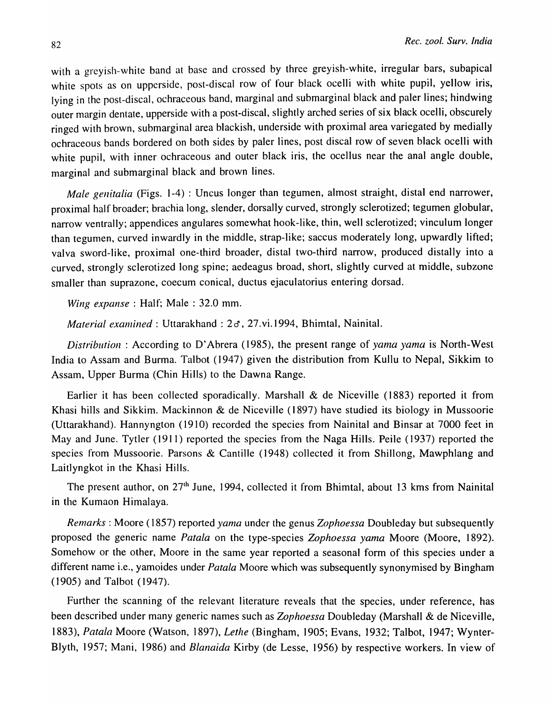with a greyish-white band at base and crossed by three greyish-white, irregular bars, subapical white spots as on upperside, post-discal row of four black ocelli with white pupil, yellow iris, lying in the post-discal, ochraceous band, marginal and submarginal black and paler lines; hindwing outer margin dentate, upperside with a post-discal, slightly arched series of six black ocelli, obscurely ringed with brown, submarginal area blackish, underside with proximal area variegated by medially ochraceous bands bordered on both sides by paler lines, post discal row of seven black ocelli with white pupil, with inner ochraceous and outer black iris, the ocellus near the anal angle double, marginal and submarginal black and brown lines.

*Male genitalia* (Figs. 1-4) : Uncus longer than tegumen, almost straight, distal end narrower, proximal half broader; brachia long, slender, dorsally curved, strongly sclerotized; tegumen globular, narrow ventrally; appendices angulares somewhat hook-like, thin, well sclerotized; vinculum longer than tegumen, curved inwardly in the middle, strap-like; saccus moderately long, upwardly lifted; valva sword-like, proximal one-third broader, distal two-third narrow, produced distally into a curved, strongly sclerotized long spine; aedeagus broad, short, slightly curved at middle, subzone smaller than suprazone, coecum conical, ductus ejaculatorius entering dorsad.

*Wing expanse*: Half; Male: 32.0 mm.

*Material examined:* Uttarakhand : 2 d', 27. vi.1994, Bhimtal, Nainital.

*Distribution:* According to D'Abrera (1985), the present range of *yama yama* is North-West India to Assam and Burma. Talbot (1947) given the distribution from Kullu to Nepal, Sikkim to Assam, Upper Burma (Chin Hills) to the Dawna Range.

Earlier it has been collected sporadically. Marshall & de Niceville (1883) reported it from Khasi hills and Sikkim. Mackinnon & de Niceville (1897) have studied its biology in Mussoorie (Uttarakhand). Hannyngton (1910) recorded the species from Nainital and Binsar at 7000 feet in May and June. Tytler (1911) reported the species from the Naga Hills. Peile (1937) reported the species from Mussoorie. Parsons & Cantille (1948) collected it from Shillong, Mawphlang and Laitlyngkot in the Khasi Hills.

The present author, on 27<sup>th</sup> June, 1994, collected it from Bhimtal, about 13 kms from Nainital in the Kumaon Himalaya.

*Remarks:* Moore (1857) reported *yama* under the genus *Zophoessa* Doubleday but subsequently proposed the generic name *Patala* on the type-species *Zophoessa yama* Moore (Moore, 1892). Somehow or the other, Moore in the same year reported a seasonal form of this species under a different name i.e., yamoides under *Patala* Moore which was subsequently synonymised by Bingham (1905) and Talbot (1947).

Further the scanning of the relevant literature reveals that the species, under reference, has been described under many generic names such as *Zophoessa* Doubleday (Marshall & de Niceville, *1883), Patala* Moore (Watson, 1897), *Lethe* (Bingham, 1905; Evans, 1932; Talbot, 1947; Wynter-Blyth, 1957; Mani, 1986) and *Blanaida* Kirby (de Lesse, 1956) by respective workers. In view of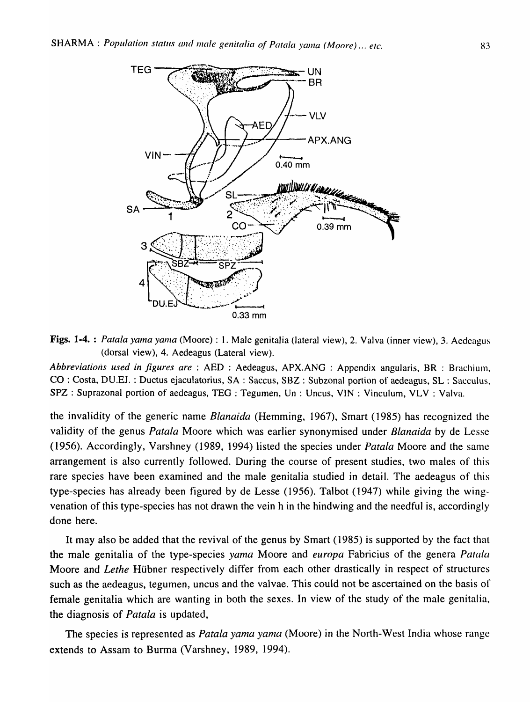

Figs. 1-4. : *Patala yama yama* (Moore) : 1. Male genitalia (latera] view), 2. Valva (inner view), 3. Aedcagus (dorsal view), 4. Aedeagus (Lateral view).

*Abbreviations used in figures are* : AED : Aedeagus, APX.ANG : Appendix angularis, BR : Brachium. CO : Costa, DU.EJ. : Ductus ejaculatorius, SA : Saccus, SBZ : Subzonal portion of aedeagus, SL : Sacculus, SPZ : Suprazonal portion of aedeagus, TEG : Tegumen, Un : Uncus, VIN : Vinculum, VLV : Valva.

the invalidity of the generic name *Blanaida* (Hemming, 1967), Smart (1985) has recognized the validity of the genus *Patala* Moore which was earlier synonymised under *Blanaida* by de Lessc (1956). Accordingly, Varshney (1989, 1994) listed the species under *Patala* Moore and the same arrangement is also currently followed. During the course of present studies, two males of this rare species have been examined and the male genitalia studied in detail. The aedeagus of this type-species has already been figured by de Lesse (1956). Talbot (1947) while giving the wingvenation of this type-species has not drawn the vein h in the hindwing and the needful is, accordingly done here.

It may also be added that the revival of the genus by Smart (1985) is supported by the fact that the male genitalia of the type-species *yama* Moore and *europa* Fabricius of the genera *Patala* Moore and *Lethe* Hübner respectively differ from each other drastically in respect of structures such as the aedeagus, tegumen, uncus and the valvae. This could not be ascertained on the basis of female genitalia which are wanting in both the sexes. In view of the study of the male genitalia, the diagnosis of *Patata* is updated,

The species is represented as *Patala yama yama* (Moore) in the North-West India whose range extends to Assam to Burma (Varshney, 1989, 1994).